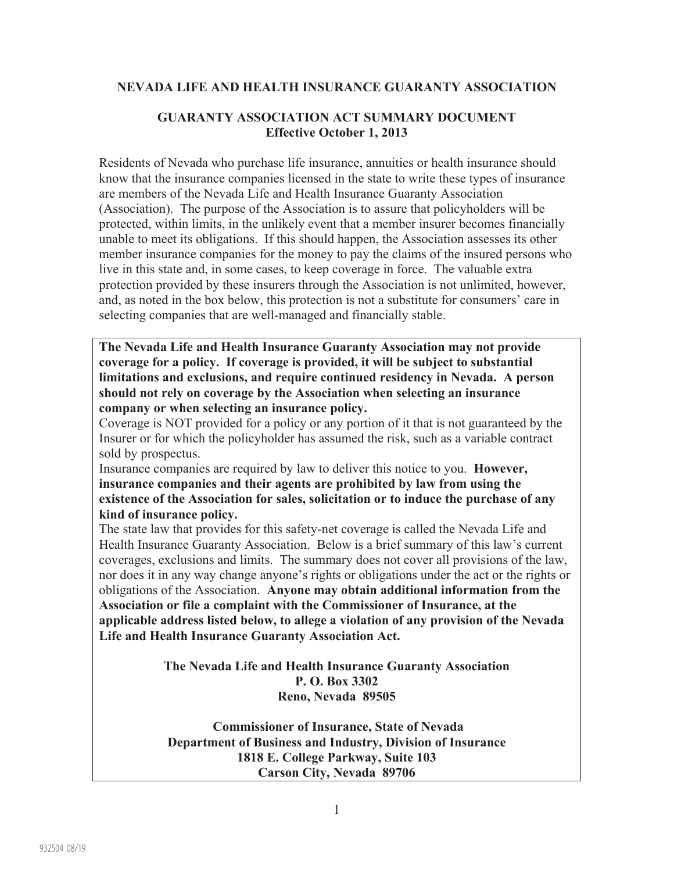#### **NEVADA LIFE AND HEALTH INSURANCE GUARANTY ASSOCIATION**

#### **GUARANTY ASSOCIATION ACT SUMMARY DOCUMENT Effective October 1, 2013**

Residents of Nevada who purchase life insurance, annuities or health insurance should know that the insurance companies licensed in the state to write these types of insurance are members of the Nevada Life and Health Insurance Guaranty Association (Association). The purpose of the Association is to assure that policyholders will be protected, within limits, in the unlikely event that a member insurer becomes financially unable to meet its obligations. If this should happen, the Association assesses its other member insurance companies for the money to pay the claims of the insured persons who live in this state and, in some cases, to keep coverage in force. The valuable extra protection provided by these insurers through the Association is not unlimited, however, and, as noted in the box below, this protection is not a substitute for consumers' care in selecting companies that are well-managed and financially stable.

**The Nevada Life and Health Insurance Guaranty Association may not provide coverage for a policy. If coverage is provided, it will be subject to substantial limitations and exclusions, and require continued residency in Nevada. A person should not rely on coverage by the Association when selecting an insurance company or when selecting an insurance policy.** 

Coverage is NOT provided for a policy or any portion of it that is not guaranteed by the Insurer or for which the policyholder has assumed the risk, such as a variable contract sold by prospectus.

Insurance companies are required by law to deliver this notice to you. **However, insurance companies and their agents are prohibited by law from using the existence of the Association for sales, solicitation or to induce the purchase of any kind of insurance policy.** 

The state law that provides for this safety-net coverage is called the Nevada Life and Health Insurance Guaranty Association. Below is a brief summary of this law's current coverages, exclusions and limits. The summary does not cover all provisions of the law, nor does it in any way change anyone's rights or obligations under the act or the rights or obligations of the Association. **Anyone may obtain additional information from the Association or file a complaint with the Commissioner of Insurance, at the applicable address listed below, to allege a violation of any provision of the Nevada Life and Health Insurance Guaranty Association Act.** 

> **The Nevada Life and Health Insurance Guaranty Association P. O. Box 3302 Reno, Nevada 89505**

 **Commissioner of Insurance, State of Nevada Department of Business and Industry, Division of Insurance 1818 E. College Parkway, Suite 103 Carson City, Nevada 89706**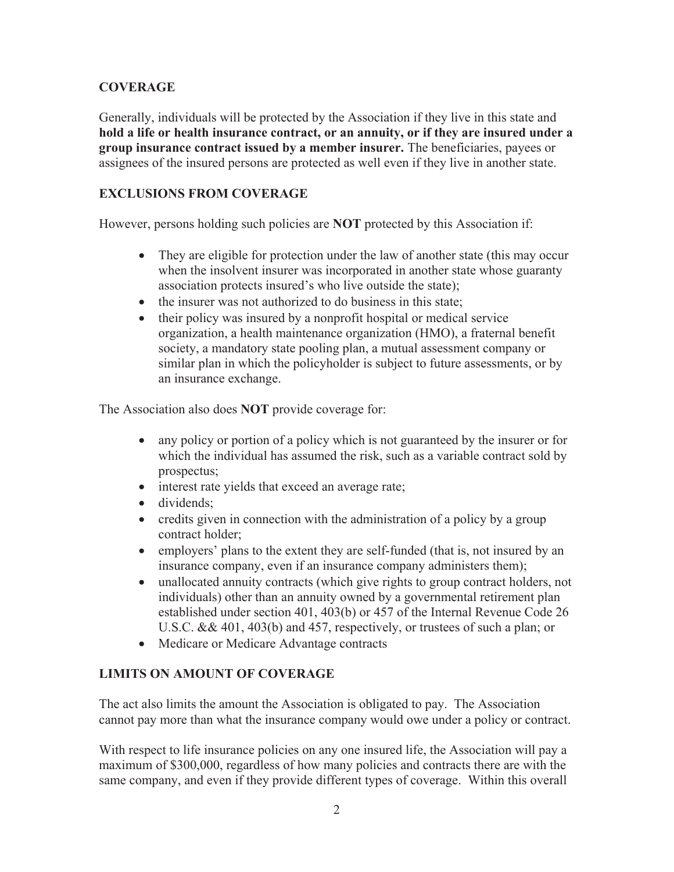# **COVERAGE**

Generally, individuals will be protected by the Association if they live in this state and **hold a life or health insurance contract, or an annuity, or if they are insured under a group insurance contract issued by a member insurer.** The beneficiaries, payees or assignees of the insured persons are protected as well even if they live in another state.

# **EXCLUSIONS FROM COVERAGE**

However, persons holding such policies are **NOT** protected by this Association if:

- They are eligible for protection under the law of another state (this may occur when the insolvent insurer was incorporated in another state whose guaranty association protects insured's who live outside the state);
- the insurer was not authorized to do business in this state;
- their policy was insured by a nonprofit hospital or medical service organization, a health maintenance organization (HMO), a fraternal benefit society, a mandatory state pooling plan, a mutual assessment company or similar plan in which the policyholder is subject to future assessments, or by an insurance exchange.

The Association also does **NOT** provide coverage for:

- any policy or portion of a policy which is not guaranteed by the insurer or for which the individual has assumed the risk, such as a variable contract sold by prospectus;
- interest rate yields that exceed an average rate;
- dividends;
- credits given in connection with the administration of a policy by a group contract holder;
- employers' plans to the extent they are self-funded (that is, not insured by an insurance company, even if an insurance company administers them);
- unallocated annuity contracts (which give rights to group contract holders, not individuals) other than an annuity owned by a governmental retirement plan established under section 401, 403(b) or 457 of the Internal Revenue Code 26 U.S.C. && 401, 403(b) and 457, respectively, or trustees of such a plan; or
- Medicare or Medicare Advantage contracts

#### **LIMITS ON AMOUNT OF COVERAGE**

The act also limits the amount the Association is obligated to pay. The Association cannot pay more than what the insurance company would owe under a policy or contract.

With respect to life insurance policies on any one insured life, the Association will pay a maximum of \$300,000, regardless of how many policies and contracts there are with the same company, and even if they provide different types of coverage. Within this overall